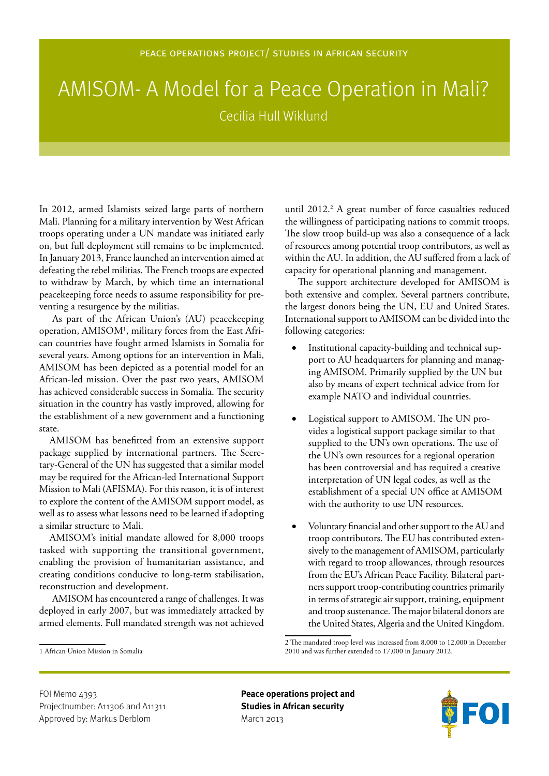## AMISOM- A Model for a Peace Operation in Mali? Cecilia Hull Wiklund

In 2012, armed Islamists seized large parts of northern Mali. Planning for a military intervention by West African troops operating under a UN mandate was initiated early on, but full deployment still remains to be implemented. In January 2013, France launched an intervention aimed at defeating the rebel militias. The French troops are expected to withdraw by March, by which time an international peacekeeping force needs to assume responsibility for preventing a resurgence by the militias.

As part of the African Union's (AU) peacekeeping operation, AMISOM1 , military forces from the East African countries have fought armed Islamists in Somalia for several years. Among options for an intervention in Mali, AMISOM has been depicted as a potential model for an African-led mission. Over the past two years, AMISOM has achieved considerable success in Somalia. The security situation in the country has vastly improved, allowing for the establishment of a new government and a functioning state.

AMISOM has benefitted from an extensive support package supplied by international partners. The Secretary-General of the UN has suggested that a similar model may be required for the African-led International Support Mission to Mali (AFISMA). For this reason, it is of interest to explore the content of the AMISOM support model, as well as to assess what lessons need to be learned if adopting a similar structure to Mali.

AMISOM's initial mandate allowed for 8,000 troops tasked with supporting the transitional government, enabling the provision of humanitarian assistance, and creating conditions conducive to long-term stabilisation, reconstruction and development.

AMISOM has encountered a range of challenges. It was deployed in early 2007, but was immediately attacked by armed elements. Full mandated strength was not achieved

until 2012.<sup>2</sup> A great number of force casualties reduced the willingness of participating nations to commit troops. The slow troop build-up was also a consequence of a lack of resources among potential troop contributors, as well as within the AU. In addition, the AU suffered from a lack of capacity for operational planning and management.

The support architecture developed for AMISOM is both extensive and complex. Several partners contribute, the largest donors being the UN, EU and United States. International support to AMISOM can be divided into the following categories:

- Institutional capacity-building and technical support to AU headquarters for planning and managing AMISOM. Primarily supplied by the UN but also by means of expert technical advice from for example NATO and individual countries.
- Logistical support to AMISOM. The UN provides a logistical support package similar to that supplied to the UN's own operations. The use of the UN's own resources for a regional operation has been controversial and has required a creative interpretation of UN legal codes, as well as the establishment of a special UN office at AMISOM with the authority to use UN resources.
- Voluntary financial and other support to the AU and troop contributors. The EU has contributed extensively to the management of AMISOM, particularly with regard to troop allowances, through resources from the EU's African Peace Facility. Bilateral partners support troop-contributing countries primarily in terms of strategic air support, training, equipment and troop sustenance. The major bilateral donors are the United States, Algeria and the United Kingdom.



<sup>2</sup> The mandated troop level was increased from 8,000 to 12,000 in December 2010 and was further extended to 17,000 in January 2012.

<sup>1</sup> African Union Mission in Somalia